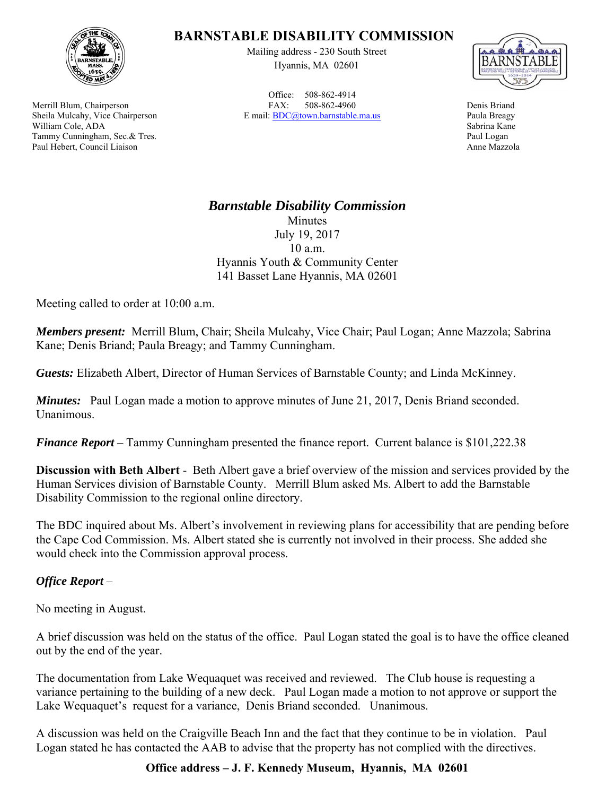

Merrill Blum, Chairperson Sheila Mulcahy, Vice Chairperson William Cole, ADA Tammy Cunningham, Sec.& Tres. Paul Hebert, Council Liaison

## **BARNSTABLE DISABILITY COMMISSION**

Mailing address - 230 South Street Hyannis, MA 02601

Office: 508-862-4914 FAX: 508-862-4960 E mail: BDC@town.barnstable.ma.us



Denis Briand Paula Breagy Sabrina Kane Paul Logan Anne Mazzola

## *Barnstable Disability Commission*  Minutes July 19, 2017 10 a.m. Hyannis Youth & Community Center

141 Basset Lane Hyannis, MA 02601

Meeting called to order at 10:00 a.m.

*Members present:* Merrill Blum, Chair; Sheila Mulcahy, Vice Chair; Paul Logan; Anne Mazzola; Sabrina Kane; Denis Briand; Paula Breagy; and Tammy Cunningham.

*Guests:* Elizabeth Albert, Director of Human Services of Barnstable County; and Linda McKinney.

*Minutes:* Paul Logan made a motion to approve minutes of June 21, 2017, Denis Briand seconded. Unanimous.

*Finance Report* – Tammy Cunningham presented the finance report. Current balance is \$101,222.38

**Discussion with Beth Albert** - Beth Albert gave a brief overview of the mission and services provided by the Human Services division of Barnstable County. Merrill Blum asked Ms. Albert to add the Barnstable Disability Commission to the regional online directory.

The BDC inquired about Ms. Albert's involvement in reviewing plans for accessibility that are pending before the Cape Cod Commission. Ms. Albert stated she is currently not involved in their process. She added she would check into the Commission approval process.

## *Office Report* –

No meeting in August.

A brief discussion was held on the status of the office. Paul Logan stated the goal is to have the office cleaned out by the end of the year.

The documentation from Lake Wequaquet was received and reviewed. The Club house is requesting a variance pertaining to the building of a new deck. Paul Logan made a motion to not approve or support the Lake Wequaquet's request for a variance, Denis Briand seconded. Unanimous.

A discussion was held on the Craigville Beach Inn and the fact that they continue to be in violation. Paul Logan stated he has contacted the AAB to advise that the property has not complied with the directives.

## **Office address – J. F. Kennedy Museum, Hyannis, MA 02601**